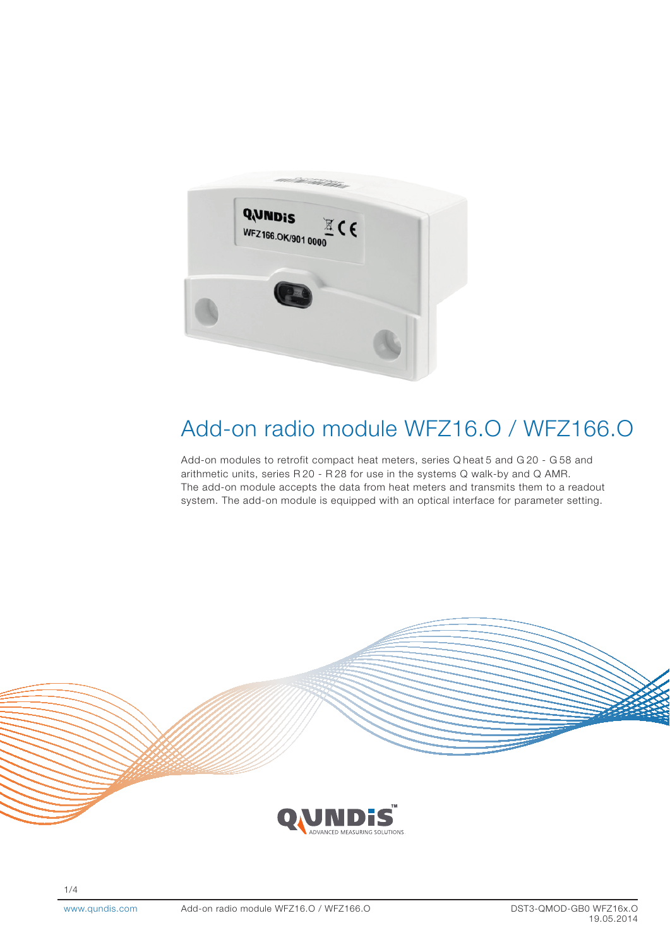

# Add-on radio module WFZ16.O / WFZ166.O

Add-on modules to retrofit compact heat meters, series Q heat 5 and G 20 - G 58 and arithmetic units, series R 20 - R 28 for use in the systems Q walk-by and Q AMR. The add-on module accepts the data from heat meters and transmits them to a readout system. The add-on module is equipped with an optical interface for parameter setting.



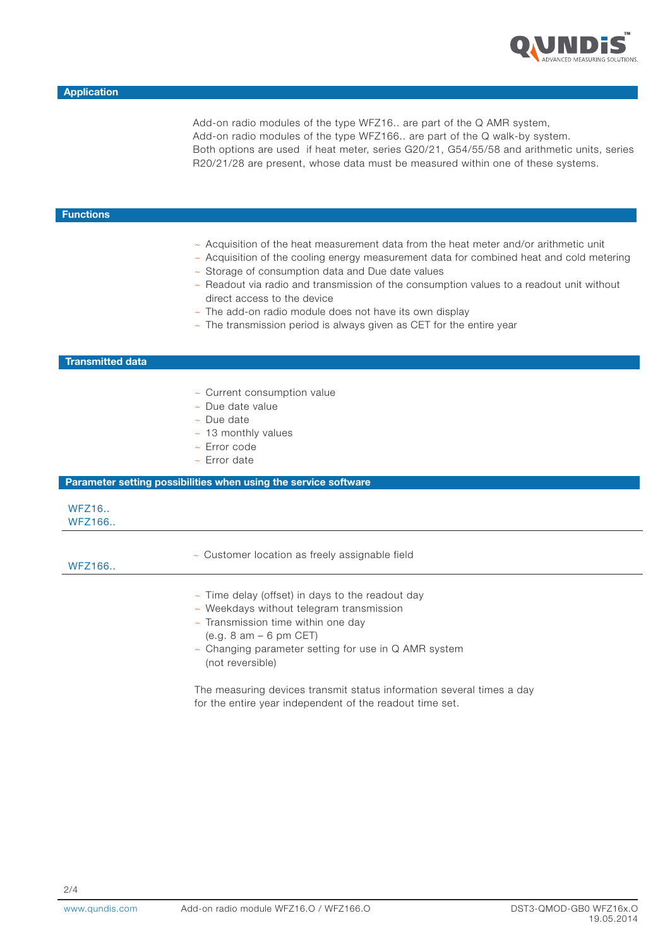

Add-on radio modules of the type WFZ16.. are part of the Q AMR system, Add-on radio modules of the type WFZ166.. are part of the Q walk-by system. Both options are used if heat meter, series G20/21, G54/55/58 and arithmetic units, series R20/21/28 are present, whose data must be measured within one of these systems.

## **Functions**

- ~ Acquisition of the heat measurement data from the heat meter and/or arithmetic unit
- ~ Acquisition of the cooling energy measurement data for combined heat and cold metering
- ~ Storage of consumption data and Due date values
- $\sim$  Readout via radio and transmission of the consumption values to a readout unit without direct access to the device
- $\sim$  The add-on radio module does not have its own display
- $\sim$  The transmission period is always given as CET for the entire year

## Transmitted data

- ~ Current consumption value
- ~ Due date value
- ~ Due date
- $\sim$  13 monthly values
- ~ Error code
- ~ Error date

#### Parameter setting possibilities when using the service software

## WFZ16.. WFZ166..

## WFZ166..

~ Customer location as freely assignable field

- $\sim$  Time delay (offset) in days to the readout day
- ~ Weekdays without telegram transmission
- $\sim$  Transmission time within one day
	- (e.g. 8 am 6 pm CET)
- ~ Changing parameter setting for use in Q AMR system (not reversible)

The measuring devices transmit status information several times a day for the entire year independent of the readout time set.

www.qundis.com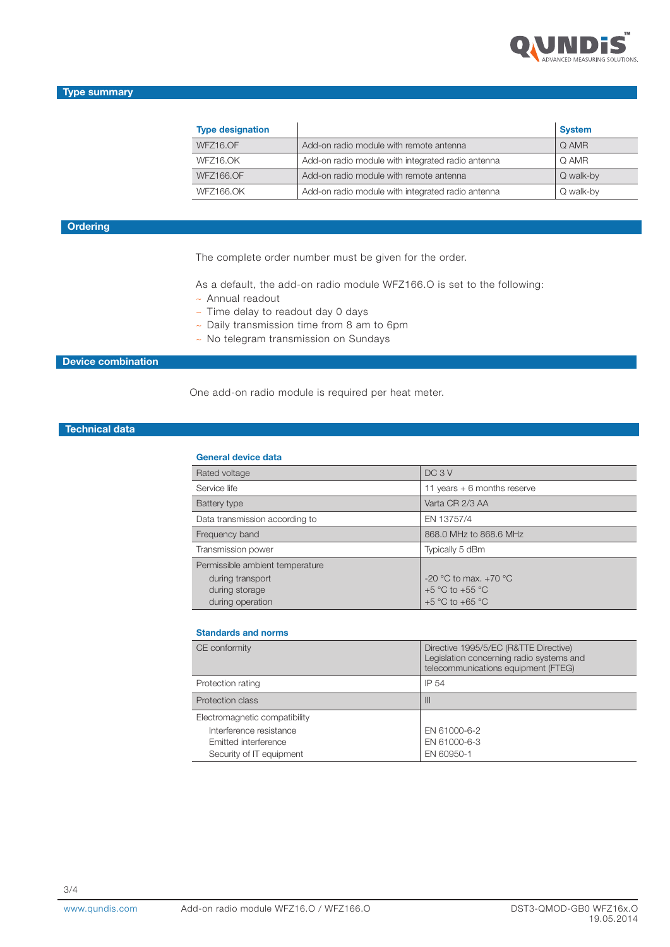

| <b>Type designation</b> |                                                   | <b>System</b> |
|-------------------------|---------------------------------------------------|---------------|
| WFZ16.OF                | Add-on radio module with remote antenna           | Q AMR         |
| WFZ16.OK                | Add-on radio module with integrated radio antenna | Q AMR         |
| <b>WFZ166.OF</b>        | Add-on radio module with remote antenna           | Q walk-by     |
| <b>WFZ166.OK</b>        | Add-on radio module with integrated radio antenna | Q walk-by     |

# **Ordering**

The complete order number must be given for the order.

As a default, the add-on radio module WFZ166.O is set to the following:

- ~ Annual readout
- ~ Time delay to readout day 0 days
- ~ Daily transmission time from 8 am to 6pm
- ~ No telegram transmission on Sundays

## Device combination

One add-on radio module is required per heat meter.

# Technical data

#### General device data

| Rated voltage                   | DC <sub>3</sub> V             |
|---------------------------------|-------------------------------|
| Service life                    | 11 years $+ 6$ months reserve |
| Battery type                    | Varta CR 2/3 AA               |
| Data transmission according to  | EN 13757/4                    |
| Frequency band                  | 868.0 MHz to 868.6 MHz        |
| Transmission power              | Typically 5 dBm               |
| Permissible ambient temperature |                               |
| during transport                | -20 °C to max. $+70$ °C       |
| during storage                  | $+5$ °C to $+55$ °C           |
| during operation                | $+5$ °C to $+65$ °C           |

#### Standards and norms

| CE conformity                 | Directive 1995/5/EC (R&TTE Directive)<br>Legislation concerning radio systems and<br>telecommunications equipment (FTEG) |
|-------------------------------|--------------------------------------------------------------------------------------------------------------------------|
| Protection rating             | IP 54                                                                                                                    |
| Protection class              | $\mathbf{III}$                                                                                                           |
| Electromagnetic compatibility |                                                                                                                          |
| Interference resistance       | EN 61000-6-2                                                                                                             |
| Emitted interference          | EN 61000-6-3                                                                                                             |
| Security of IT equipment      | EN 60950-1                                                                                                               |

www.qundis.com